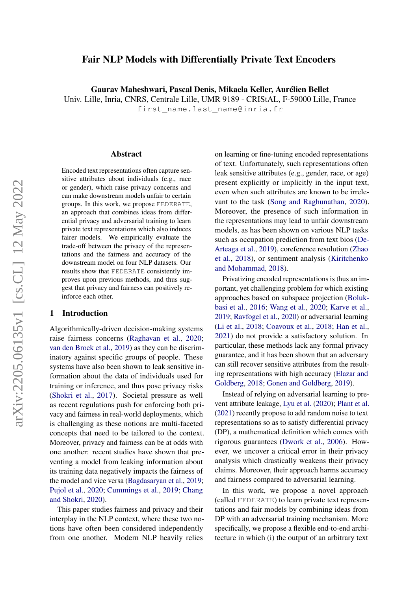# Fair NLP Models with Differentially Private Text Encoders

Gaurav Maheshwari, Pascal Denis, Mikaela Keller, Aurélien Bellet

Univ. Lille, Inria, CNRS, Centrale Lille, UMR 9189 - CRIStAL, F-59000 Lille, France

first\_name.last\_name@inria.fr

#### Abstract

Encoded text representations often capture sensitive attributes about individuals (e.g., race or gender), which raise privacy concerns and can make downstream models unfair to certain groups. In this work, we propose FEDERATE, an approach that combines ideas from differential privacy and adversarial training to learn private text representations which also induces fairer models. We empirically evaluate the trade-off between the privacy of the representations and the fairness and accuracy of the downstream model on four NLP datasets. Our results show that FEDERATE consistently improves upon previous methods, and thus suggest that privacy and fairness can positively reinforce each other.

## 1 Introduction

Algorithmically-driven decision-making systems raise fairness concerns [\(Raghavan et al.,](#page-10-0) [2020;](#page-10-0) [van den Broek et al.,](#page-10-1) [2019\)](#page-10-1) as they can be discriminatory against specific groups of people. These systems have also been shown to leak sensitive information about the data of individuals used for training or inference, and thus pose privacy risks [\(Shokri et al.,](#page-10-2) [2017\)](#page-10-2). Societal pressure as well as recent regulations push for enforcing both privacy and fairness in real-world deployments, which is challenging as these notions are multi-faceted concepts that need to be tailored to the context. Moreover, privacy and fairness can be at odds with one another: recent studies have shown that preventing a model from leaking information about its training data negatively impacts the fairness of the model and vice versa [\(Bagdasaryan et al.,](#page-8-0) [2019;](#page-8-0) [Pujol et al.,](#page-10-3) [2020;](#page-10-3) [Cummings et al.,](#page-8-1) [2019;](#page-8-1) [Chang](#page-8-2) [and Shokri,](#page-8-2) [2020\)](#page-8-2).

This paper studies fairness and privacy and their interplay in the NLP context, where these two notions have often been considered independently from one another. Modern NLP heavily relies on learning or fine-tuning encoded representations of text. Unfortunately, such representations often leak sensitive attributes (e.g., gender, race, or age) present explicitly or implicitly in the input text, even when such attributes are known to be irrelevant to the task [\(Song and Raghunathan,](#page-10-4) [2020\)](#page-10-4). Moreover, the presence of such information in the representations may lead to unfair downstream models, as has been shown on various NLP tasks such as occupation prediction from text bios [\(De-](#page-8-3)[Arteaga et al.,](#page-8-3) [2019\)](#page-8-3), coreference resolution [\(Zhao](#page-10-5) [et al.,](#page-10-5) [2018\)](#page-10-5), or sentiment analysis [\(Kiritchenko](#page-9-0) [and Mohammad,](#page-9-0) [2018\)](#page-9-0).

Privatizing encoded representations is thus an important, yet challenging problem for which existing approaches based on subspace projection [\(Boluk](#page-8-4)[basi et al.,](#page-8-4) [2016;](#page-8-4) [Wang et al.,](#page-10-6) [2020;](#page-10-6) [Karve et al.,](#page-9-1) [2019;](#page-9-1) [Ravfogel et al.,](#page-10-7) [2020\)](#page-10-7) or adversarial learning [\(Li et al.,](#page-9-2) [2018;](#page-9-2) [Coavoux et al.,](#page-8-5) [2018;](#page-8-5) [Han et al.,](#page-9-3) [2021\)](#page-9-3) do not provide a satisfactory solution. In particular, these methods lack any formal privacy guarantee, and it has been shown that an adversary can still recover sensitive attributes from the resulting representations with high accuracy [\(Elazar and](#page-8-6) [Goldberg,](#page-8-6) [2018;](#page-8-6) [Gonen and Goldberg,](#page-9-4) [2019\)](#page-9-4).

Instead of relying on adversarial learning to prevent attribute leakage, [Lyu et al.](#page-9-5) [\(2020\)](#page-9-5); [Plant et al.](#page-10-8) [\(2021\)](#page-10-8) recently propose to add random noise to text representations so as to satisfy differential privacy (DP), a mathematical definition which comes with rigorous guarantees [\(Dwork et al.,](#page-8-7) [2006\)](#page-8-7). However, we uncover a critical error in their privacy analysis which drastically weakens their privacy claims. Moreover, their approach harms accuracy and fairness compared to adversarial learning.

In this work, we propose a novel approach (called FEDERATE) to learn private text representations and fair models by combining ideas from DP with an adversarial training mechanism. More specifically, we propose a flexible end-to-end architecture in which (i) the output of an arbitrary text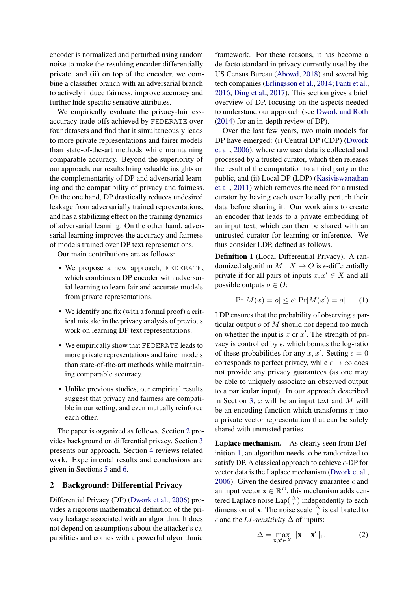encoder is normalized and perturbed using random noise to make the resulting encoder differentially private, and (ii) on top of the encoder, we combine a classifier branch with an adversarial branch to actively induce fairness, improve accuracy and further hide specific sensitive attributes.

We empirically evaluate the privacy-fairnessaccuracy trade-offs achieved by FEDERATE over four datasets and find that it simultaneously leads to more private representations and fairer models than state-of-the-art methods while maintaining comparable accuracy. Beyond the superiority of our approach, our results bring valuable insights on the complementarity of DP and adversarial learning and the compatibility of privacy and fairness. On the one hand, DP drastically reduces undesired leakage from adversarially trained representations, and has a stabilizing effect on the training dynamics of adversarial learning. On the other hand, adversarial learning improves the accuracy and fairness of models trained over DP text representations.

Our main contributions are as follows:

- We propose a new approach, FEDERATE, which combines a DP encoder with adversarial learning to learn fair and accurate models from private representations.
- We identify and fix (with a formal proof) a critical mistake in the privacy analysis of previous work on learning DP text representations.
- We empirically show that FEDERATE leads to more private representations and fairer models than state-of-the-art methods while maintaining comparable accuracy.
- Unlike previous studies, our empirical results suggest that privacy and fairness are compatible in our setting, and even mutually reinforce each other.

The paper is organized as follows. Section [2](#page-1-0) provides background on differential privacy. Section [3](#page-2-0) presents our approach. Section [4](#page-3-0) reviews related work. Experimental results and conclusions are given in Sections [5](#page-4-0) and [6.](#page-7-0)

# <span id="page-1-0"></span>2 Background: Differential Privacy

Differential Privacy (DP) [\(Dwork et al.,](#page-8-7) [2006\)](#page-8-7) provides a rigorous mathematical definition of the privacy leakage associated with an algorithm. It does not depend on assumptions about the attacker's capabilities and comes with a powerful algorithmic

framework. For these reasons, it has become a de-facto standard in privacy currently used by the US Census Bureau [\(Abowd,](#page-8-8) [2018\)](#page-8-8) and several big tech companies [\(Erlingsson et al.,](#page-8-9) [2014;](#page-8-9) [Fanti et al.,](#page-9-6) [2016;](#page-9-6) [Ding et al.,](#page-8-10) [2017\)](#page-8-10). This section gives a brief overview of DP, focusing on the aspects needed to understand our approach (see [Dwork and Roth](#page-8-11) [\(2014\)](#page-8-11) for an in-depth review of DP).

Over the last few years, two main models for DP have emerged: (i) Central DP (CDP) [\(Dwork](#page-8-7) [et al.,](#page-8-7) [2006\)](#page-8-7), where raw user data is collected and processed by a trusted curator, which then releases the result of the computation to a third party or the public, and (ii) Local DP (LDP) [\(Kasiviswanathan](#page-9-7) [et al.,](#page-9-7) [2011\)](#page-9-7) which removes the need for a trusted curator by having each user locally perturb their data before sharing it. Our work aims to create an encoder that leads to a private embedding of an input text, which can then be shared with an untrusted curator for learning or inference. We thus consider LDP, defined as follows.

<span id="page-1-1"></span>Definition 1 (Local Differential Privacy). A randomized algorithm  $M : X \to O$  is  $\epsilon$ -differentially private if for all pairs of inputs  $x, x' \in X$  and all possible outputs  $o \in O$ :

$$
\Pr[M(x) = o] \le e^{\epsilon} \Pr[M(x') = o]. \tag{1}
$$

LDP ensures that the probability of observing a particular output  $o$  of  $M$  should not depend too much on whether the input is  $x$  or  $x'$ . The strength of privacy is controlled by  $\epsilon$ , which bounds the log-ratio of these probabilities for any x, x'. Setting  $\epsilon = 0$ corresponds to perfect privacy, while  $\epsilon \to \infty$  does not provide any privacy guarantees (as one may be able to uniquely associate an observed output to a particular input). In our approach described in Section [3,](#page-2-0)  $x$  will be an input text and  $M$  will be an encoding function which transforms  $x$  into a private vector representation that can be safely shared with untrusted parties.

Laplace mechanism. As clearly seen from Definition [1,](#page-1-1) an algorithm needs to be randomized to satisfy DP. A classical approach to achieve  $\epsilon$ -DP for vector data is the Laplace mechanism [\(Dwork et al.,](#page-8-7) [2006\)](#page-8-7). Given the desired privacy guarantee  $\epsilon$  and an input vector  $\mathbf{x} \in \mathbb{R}^D$ , this mechanism adds centered Laplace noise Lap $(\frac{\Delta}{\epsilon})$  $\frac{\Delta}{\epsilon}$ ) independently to each dimension of **x**. The noise scale  $\frac{\Delta}{\epsilon}$  is calibrated to  $\epsilon$  and the *L1-sensitivity*  $\Delta$  of inputs:

<span id="page-1-2"></span>
$$
\Delta = \max_{\mathbf{x}, \mathbf{x}' \in X} \|\mathbf{x} - \mathbf{x}'\|_1.
$$
 (2)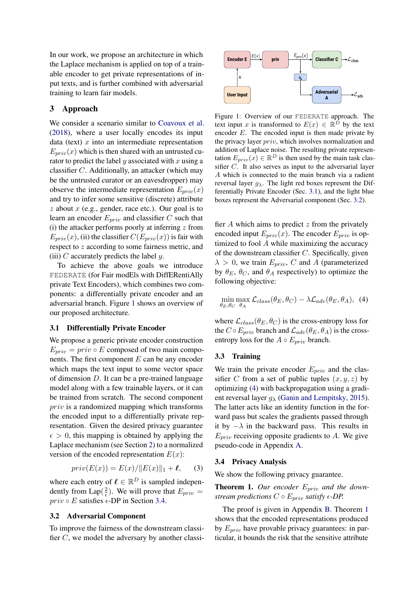In our work, we propose an architecture in which the Laplace mechanism is applied on top of a trainable encoder to get private representations of input texts, and is further combined with adversarial training to learn fair models.

## <span id="page-2-0"></span>3 Approach

We consider a scenario similar to [Coavoux et al.](#page-8-5) [\(2018\)](#page-8-5), where a user locally encodes its input data (text)  $x$  into an intermediate representation  $E_{\text{priv}}(x)$  which is then shared with an untrusted curator to predict the label  $y$  associated with  $x$  using a classifier C. Additionally, an attacker (which may be the untrusted curator or an eavesdropper) may observe the intermediate representation  $E_{priv}(x)$ and try to infer some sensitive (discrete) attribute  $z$  about  $x$  (e.g., gender, race etc.). Our goal is to learn an encoder  $E_{priv}$  and classifier C such that (i) the attacker performs poorly at inferring  $z$  from  $E_{priv}(x)$ , (ii) the classifier  $C(E_{priv}(x))$  is fair with respect to z according to some fairness metric, and (iii) C accurately predicts the label  $y$ .

To achieve the above goals we introduce FEDERATE (for Fair modEls with DiffERentiAlly private Text Encoders), which combines two components: a differentially private encoder and an adversarial branch. Figure [1](#page-2-1) shows an overview of our proposed architecture.

#### <span id="page-2-3"></span>3.1 Differentially Private Encoder

We propose a generic private encoder construction  $E_{priv} = priv \circ E$  composed of two main components. The first component  $E$  can be any encoder which maps the text input to some vector space of dimension D. It can be a pre-trained language model along with a few trainable layers, or it can be trained from scratch. The second component priv is a randomized mapping which transforms the encoded input to a differentially private representation. Given the desired privacy guarantee  $\epsilon > 0$ , this mapping is obtained by applying the Laplace mechanism (see Section [2\)](#page-1-0) to a normalized version of the encoded representation  $E(x)$ :

$$
priv(E(x)) = E(x)/||E(x)||_1 + \ell,
$$
 (3)

where each entry of  $\ell \in \mathbb{R}^D$  is sampled independently from Lap( $\frac{2}{6}$  $\frac{2}{\epsilon}$ ). We will prove that  $E_{priv}$  =  $priv \circ E$  satisfies  $\epsilon$ -DP in Section [3.4.](#page-2-2)

#### <span id="page-2-4"></span>3.2 Adversarial Component

To improve the fairness of the downstream classifier C, we model the adversary by another classi-

<span id="page-2-1"></span>

Figure 1: Overview of our FEDERATE approach. The text input x is transformed to  $E(x) \in \mathbb{R}^D$  by the text encoder  $E$ . The encoded input is then made private by the privacy layer priv, which involves normalization and addition of Laplace noise. The resulting private representation  $E_{priv}(x) \in \mathbb{R}^{D}$  is then used by the main task classifier  $C$ . It also serves as input to the adversarial layer A which is connected to the main branch via a radient reversal layer  $q_{\lambda}$ . The light red boxes represent the Differentially Private Encoder (Sec. [3.1\)](#page-2-3), and the light blue boxes represent the Adversarial component (Sec. [3.2\)](#page-2-4).

fier  $A$  which aims to predict  $z$  from the privately encoded input  $E_{priv}(x)$ . The encoder  $E_{priv}$  is optimized to fool A while maximizing the accuracy of the downstream classifier  $C$ . Specifically, given  $\lambda > 0$ , we train  $E_{priv}$ , C and A (parameterized by  $\theta_E$ ,  $\theta_C$ , and  $\theta_A$  respectively) to optimize the following objective:

<span id="page-2-5"></span>
$$
\min_{\theta_E, \theta_C} \max_{\theta_A} \mathcal{L}_{class}(\theta_E, \theta_C) - \lambda \mathcal{L}_{adv}(\theta_E, \theta_A), \tag{4}
$$

where  $\mathcal{L}_{class}(\theta_E, \theta_C)$  is the cross-entropy loss for the  $C \circ E_{priv}$  branch and  $\mathcal{L}_{adv}(\theta_E, \theta_A)$  is the crossentropy loss for the  $A \circ E_{priv}$  branch.

### 3.3 Training

We train the private encoder  $E_{priv}$  and the classifier C from a set of public tuples  $(x, y, z)$  by optimizing [\(4\)](#page-2-5) with backpropagation using a gradient reversal layer  $g_{\lambda}$  [\(Ganin and Lempitsky,](#page-9-8) [2015\)](#page-9-8). The latter acts like an identity function in the forward pass but scales the gradients passed through it by  $-\lambda$  in the backward pass. This results in  $E_{priv}$  receiving opposite gradients to A. We give pseudo-code in Appendix [A.](#page-11-0)

#### <span id="page-2-7"></span><span id="page-2-2"></span>3.4 Privacy Analysis

We show the following privacy guarantee.

<span id="page-2-6"></span>**Theorem 1.** Our encoder  $E_{\text{priv}}$  and the down*stream predictions*  $C \circ E_{priv}$  *satisfy*  $\epsilon$ -*DP.* 

The proof is given in Appendix [B.](#page-11-1) Theorem [1](#page-2-6) shows that the encoded representations produced by  $E_{priv}$  have provable privacy guarantees: in particular, it bounds the risk that the sensitive attribute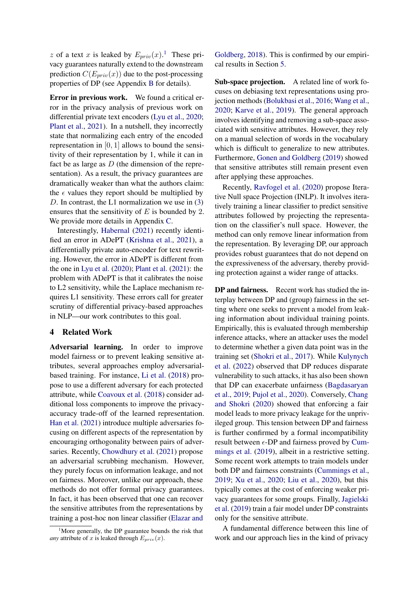z of a text x is leaked by  $E_{priv}(x)$ .<sup>[1](#page-3-1)</sup> These privacy guarantees naturally extend to the downstream prediction  $C(E_{\text{min}}(x))$  due to the post-processing properties of DP (see Appendix [B](#page-11-1) for details).

Error in previous work. We found a critical error in the privacy analysis of previous work on differential private text encoders [\(Lyu et al.,](#page-9-5) [2020;](#page-9-5) [Plant et al.,](#page-10-8) [2021\)](#page-10-8). In a nutshell, they incorrectly state that normalizing each entry of the encoded representation in  $[0, 1]$  allows to bound the sensitivity of their representation by 1, while it can in fact be as large as  $D$  (the dimension of the representation). As a result, the privacy guarantees are dramatically weaker than what the authors claim: the  $\epsilon$  values they report should be multiplied by D. In contrast, the L1 normalization we use in  $(3)$ ensures that the sensitivity of  $E$  is bounded by 2. We provide more details in Appendix [C.](#page-11-2)

Interestingly, [Habernal](#page-9-9) [\(2021\)](#page-9-9) recently identified an error in ADePT [\(Krishna et al.,](#page-9-10) [2021\)](#page-9-10), a differentially private auto-encoder for text rewriting. However, the error in ADePT is different from the one in [Lyu et al.](#page-9-5) [\(2020\)](#page-9-5); [Plant et al.](#page-10-8) [\(2021\)](#page-10-8): the problem with ADePT is that it calibrates the noise to L2 sensitivity, while the Laplace mechanism requires L1 sensitivity. These errors call for greater scrutiny of differential privacy-based approaches in NLP—our work contributes to this goal.

### <span id="page-3-0"></span>4 Related Work

Adversarial learning. In order to improve model fairness or to prevent leaking sensitive attributes, several approaches employ adversarialbased training. For instance, [Li et al.](#page-9-2) [\(2018\)](#page-9-2) propose to use a different adversary for each protected attribute, while [Coavoux et al.](#page-8-5) [\(2018\)](#page-8-5) consider additional loss components to improve the privacyaccuracy trade-off of the learned representation. [Han et al.](#page-9-3) [\(2021\)](#page-9-3) introduce multiple adversaries focusing on different aspects of the representation by encouraging orthogonality between pairs of adversaries. Recently, [Chowdhury et al.](#page-8-12) [\(2021\)](#page-8-12) propose an adversarial scrubbing mechanism. However, they purely focus on information leakage, and not on fairness. Moreover, unlike our approach, these methods do not offer formal privacy guarantees. In fact, it has been observed that one can recover the sensitive attributes from the representations by training a post-hoc non linear classifier [\(Elazar and](#page-8-6)

[Goldberg,](#page-8-6) [2018\)](#page-8-6). This is confirmed by our empirical results in Section [5.](#page-4-0)

Sub-space projection. A related line of work focuses on debiasing text representations using projection methods [\(Bolukbasi et al.,](#page-8-4) [2016;](#page-8-4) [Wang et al.,](#page-10-6) [2020;](#page-10-6) [Karve et al.,](#page-9-1) [2019\)](#page-9-1). The general approach involves identifying and removing a sub-space associated with sensitive attributes. However, they rely on a manual selection of words in the vocabulary which is difficult to generalize to new attributes. Furthermore, [Gonen and Goldberg](#page-9-4) [\(2019\)](#page-9-4) showed that sensitive attributes still remain present even after applying these approaches.

Recently, [Ravfogel et al.](#page-10-7) [\(2020\)](#page-10-7) propose Iterative Null space Projection (INLP). It involves iteratively training a linear classifier to predict sensitive attributes followed by projecting the representation on the classifier's null space. However, the method can only remove linear information from the representation. By leveraging DP, our approach provides robust guarantees that do not depend on the expressiveness of the adversary, thereby providing protection against a wider range of attacks.

DP and fairness. Recent work has studied the interplay between DP and (group) fairness in the setting where one seeks to prevent a model from leaking information about individual training points. Empirically, this is evaluated through membership inference attacks, where an attacker uses the model to determine whether a given data point was in the training set [\(Shokri et al.,](#page-10-2) [2017\)](#page-10-2). While [Kulynych](#page-9-11) [et al.](#page-9-11) [\(2022\)](#page-9-11) observed that DP reduces disparate vulnerability to such attacks, it has also been shown that DP can exacerbate unfairness [\(Bagdasaryan](#page-8-0) [et al.,](#page-8-0) [2019;](#page-8-0) [Pujol et al.,](#page-10-3) [2020\)](#page-10-3). Conversely, [Chang](#page-8-2) [and Shokri](#page-8-2) [\(2020\)](#page-8-2) showed that enforcing a fair model leads to more privacy leakage for the unprivileged group. This tension between DP and fairness is further confirmed by a formal incompatibility result between  $\epsilon$ -DP and fairness proved by [Cum](#page-8-1)[mings et al.](#page-8-1) [\(2019\)](#page-8-1), albeit in a restrictive setting. Some recent work attempts to train models under both DP and fairness constraints [\(Cummings et al.,](#page-8-1) [2019;](#page-8-1) [Xu et al.,](#page-10-9) [2020;](#page-10-9) [Liu et al.,](#page-9-12) [2020\)](#page-9-12), but this typically comes at the cost of enforcing weaker privacy guarantees for some groups. Finally, [Jagielski](#page-9-13) [et al.](#page-9-13) [\(2019\)](#page-9-13) train a fair model under DP constraints only for the sensitive attribute.

A fundamental difference between this line of work and our approach lies in the kind of privacy

<span id="page-3-1"></span><sup>&</sup>lt;sup>1</sup>[More generally, the DP guarantee bounds the risk that](#page-8-6) *any* attribute of x [is leaked through](#page-8-6)  $E_{priv}(x)$ .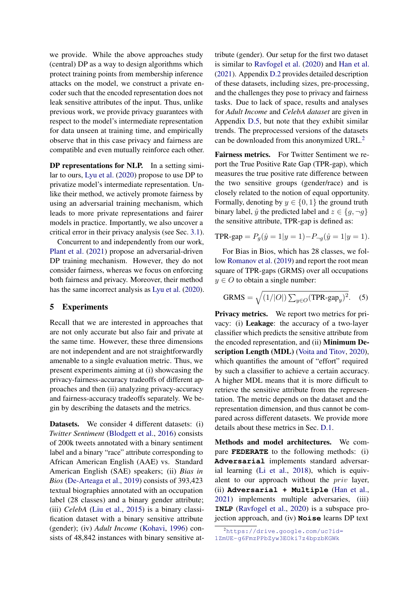we provide. While the above approaches study (central) DP as a way to design algorithms which protect training points from membership inference attacks on the model, we construct a private encoder such that the encoded representation does not leak sensitive attributes of the input. Thus, unlike previous work, we provide privacy guarantees with respect to the model's intermediate representation for data unseen at training time, and empirically observe that in this case privacy and fairness are compatible and even mutually reinforce each other.

DP representations for NLP. In a setting similar to ours, [Lyu et al.](#page-9-5) [\(2020\)](#page-9-5) propose to use DP to privatize model's intermediate representation. Unlike their method, we actively promote fairness by using an adversarial training mechanism, which leads to more private representations and fairer models in practice. Importantly, we also uncover a critical error in their privacy analysis (see Sec. [3.1\)](#page-2-3).

Concurrent to and independently from our work, [Plant et al.](#page-10-8) [\(2021\)](#page-10-8) propose an adversarial-driven DP training mechanism. However, they do not consider fairness, whereas we focus on enforcing both fairness and privacy. Moreover, their method has the same incorrect analysis as [Lyu et al.](#page-9-5) [\(2020\)](#page-9-5).

# <span id="page-4-0"></span>5 Experiments

Recall that we are interested in approaches that are not only accurate but also fair and private at the same time. However, these three dimensions are not independent and are not straightforwardly amenable to a single evaluation metric. Thus, we present experiments aiming at (i) showcasing the privacy-fairness-accuracy tradeoffs of different approaches and then (ii) analyzing privacy-accuracy and fairness-accuracy tradeoffs separately. We begin by describing the datasets and the metrics.

Datasets. We consider 4 different datasets: (i) *Twitter Sentiment* [\(Blodgett et al.,](#page-8-13) [2016\)](#page-8-13) consists of 200k tweets annotated with a binary sentiment label and a binary "race" attribute corresponding to African American English (AAE) vs. Standard American English (SAE) speakers; (ii) *Bias in Bios* [\(De-Arteaga et al.,](#page-8-3) [2019\)](#page-8-3) consists of 393,423 textual biographies annotated with an occupation label (28 classes) and a binary gender attribute; (iii) *CelebA* [\(Liu et al.,](#page-9-14) [2015\)](#page-9-14) is a binary classification dataset with a binary sensitive attribute (gender); (iv) *Adult Income* [\(Kohavi,](#page-9-15) [1996\)](#page-9-15) consists of 48,842 instances with binary sensitive attribute (gender). Our setup for the first two dataset is similar to [Ravfogel et al.](#page-10-7) [\(2020\)](#page-10-7) and [Han et al.](#page-9-3) [\(2021\)](#page-9-3). Appendix [D.2](#page-13-0) provides detailed description of these datasets, including sizes, pre-processing, and the challenges they pose to privacy and fairness tasks. Due to lack of space, results and analyses for *Adult Income* and *CelebA dataset* are given in Appendix [D.5,](#page-14-0) but note that they exhibit similar trends. The preprocessed versions of the datasets can be downloaded from this anonymized URL.<sup>[2](#page-4-1)</sup>

Fairness metrics. For Twitter Sentiment we report the True Positive Rate Gap (TPR-gap), which measures the true positive rate difference between the two sensitive groups (gender/race) and is closely related to the notion of equal opportunity. Formally, denoting by  $y \in \{0, 1\}$  the ground truth binary label,  $\hat{y}$  the predicted label and  $z \in \{q, \neg q\}$ the sensitive attribute, TPR-gap is defined as:

$$
\text{TPR-gap} = P_g(\hat{y} = 1|y = 1) - P_{\neg g}(\hat{y} = 1|y = 1).
$$

For Bias in Bios, which has 28 classes, we follow [Romanov et al.](#page-10-10) [\(2019\)](#page-10-10) and report the root mean square of TPR-gaps (GRMS) over all occupations  $y \in O$  to obtain a single number:

$$
GRMS = \sqrt{(1/|O|)\sum_{y \in O} (TPR\text{-}gap_y)^2}.
$$
 (5)

Privacy metrics. We report two metrics for privacy: (i) Leakage: the accuracy of a two-layer classifier which predicts the sensitive attribute from the encoded representation, and (ii) Minimum De-scription Length (MDL) [\(Voita and Titov,](#page-10-11) [2020\)](#page-10-11), which quantifies the amount of "effort" required by such a classifier to achieve a certain accuracy. A higher MDL means that it is more difficult to retrieve the sensitive attribute from the representation. The metric depends on the dataset and the representation dimension, and thus cannot be compared across different datasets. We provide more details about these metrics in Sec. [D.1.](#page-12-0)

Methods and model architectures. We compare **FEDERATE** to the following methods: (i) **Adversarial** implements standard adversarial learning [\(Li et al.,](#page-9-2) [2018\)](#page-9-2), which is equivalent to our approach without the priv layer, (ii) **Adversarial + Multiple** [\(Han et al.,](#page-9-3) [2021\)](#page-9-3) implements multiple adversaries, (iii) **INLP** [\(Ravfogel et al.,](#page-10-7) [2020\)](#page-10-7) is a subspace projection approach, and (iv) **Noise** learns DP text

<span id="page-4-1"></span><sup>2</sup>[https://drive.google.com/uc?id=](https://drive.google.com/uc?id=1ZmUE-g6FmzPPbZyw3EOki7z4bpzbKGWk) [1ZmUE-g6FmzPPbZyw3EOki7z4bpzbKGWk](https://drive.google.com/uc?id=1ZmUE-g6FmzPPbZyw3EOki7z4bpzbKGWk)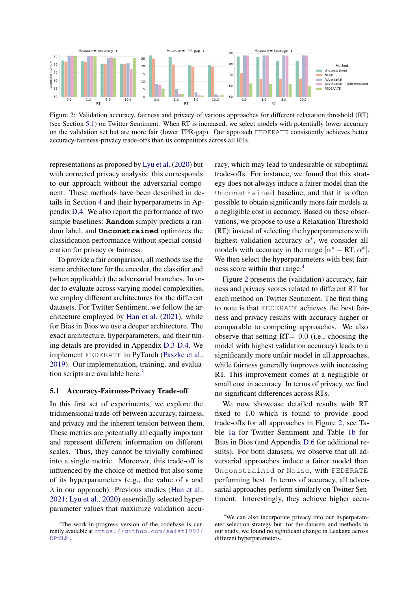<span id="page-5-3"></span>

Figure 2: Validation accuracy, fairness and privacy of various approaches for different relaxation threshold (RT) (see Section [5.1\)](#page-5-0) on Twitter Sentiment. When RT is increased, we select models with potentially lower accuracy on the validation set but are more fair (lower TPR-gap). Our approach FEDERATE consistently achieves better accuracy-fairness-privacy trade-offs than its competitors across all RTs.

representations as proposed by [Lyu et al.](#page-9-5) [\(2020\)](#page-9-5) but with corrected privacy analysis: this corresponds to our approach without the adversarial component. These methods have been described in details in Section [4](#page-3-0) and their hyperparametrs in Appendix [D.4.](#page-14-1) We also report the performance of two simple baselines: **Random** simply predicts a random label, and **Unconstrained** optimizes the classification performance without special consideration for privacy or fairness.

To provide a fair comparison, all methods use the same architecture for the encoder, the classifier and (when applicable) the adversarial branches. In order to evaluate across varying model complexities, we employ different architectures for the different datasets. For Twitter Sentiment, we follow the architecture employed by [Han et al.](#page-9-3) [\(2021\)](#page-9-3), while for Bias in Bios we use a deeper architecture. The exact architecture, hyperparameters, and their tuning details are provided in Appendix [D.3-](#page-13-1)[D.4.](#page-14-1) We implement FEDERATE in PyTorch [\(Paszke et al.,](#page-10-12) [2019\)](#page-10-12). Our implementation, training, and evalua-tion scripts are available here.<sup>[3](#page-5-1)</sup>

#### <span id="page-5-0"></span>5.1 Accuracy-Fairness-Privacy Trade-off

In this first set of experiments, we explore the tridimensional trade-off between accuracy, fairness, and privacy and the inherent tension between them. These metrics are potentially all equally important and represent different information on different scales. Thus, they cannot be trivially combined into a single metric. Moreover, this trade-off is influenced by the choice of method but also some of its hyperparameters (e.g., the value of  $\epsilon$  and  $\lambda$  in our approach). Previous studies [\(Han et al.,](#page-9-3) [2021;](#page-9-3) [Lyu et al.,](#page-9-5) [2020\)](#page-9-5) essentially selected hyperparameter values that maximize validation accuracy, which may lead to undesirable or suboptimal trade-offs. For instance, we found that this strategy does not always induce a fairer model than the Unconstrained baseline, and that it is often possible to obtain significantly more fair models at a negligible cost in accuracy. Based on these observations, we propose to use a Relaxation Threshold (RT): instead of selecting the hyperparameters with highest validation accuracy  $\alpha^*$ , we consider all models with accuracy in the range  $[\alpha^* - RT, \alpha^*]$ . We then select the hyperparameters with best fair-ness score within that range.<sup>[4](#page-5-2)</sup>

Figure [2](#page-5-3) presents the (validation) accuracy, fairness and privacy scores related to different RT for each method on Twitter Sentiment. The first thing to note is that FEDERATE achieves the best fairness and privacy results with accuracy higher or comparable to competing approaches. We also observe that setting RT= 0.0 (i.e., choosing the model with highest validation accuracy) leads to a significantly more unfair model in all approaches, while fairness generally improves with increasing RT. This improvement comes at a negligible or small cost in accuracy. In terms of privacy, we find no significant differences across RTs.

We now showcase detailed results with RT fixed to 1.0 which is found to provide good trade-offs for all approaches in Figure [2,](#page-5-3) see Table [1a](#page-6-0) for Twitter Sentiment and Table [1b](#page-6-0) for Bias in Bios (and Appendix [D.6](#page-14-2) for additional results). For both datasets, we observe that all adversarial approaches induce a fairer model than Unconstrained or Noise, with FEDERATE performing best. In terms of accuracy, all adversarial approaches perform similarly on Twitter Sentiment. Interestingly, they achieve higher accu-

<span id="page-5-1"></span><sup>&</sup>lt;sup>3</sup>The work-in-progress version of the codebase is currently available at [https://github.com/saist1993/](https://github.com/saist1993/DPNLP.) [DPNLP.](https://github.com/saist1993/DPNLP.)

<span id="page-5-2"></span><sup>&</sup>lt;sup>4</sup>We can also incorporate privacy into our hyperparameter selection strategy but, for the datasets and methods in our study, we found no significant change in Leakage across different hyperparameters.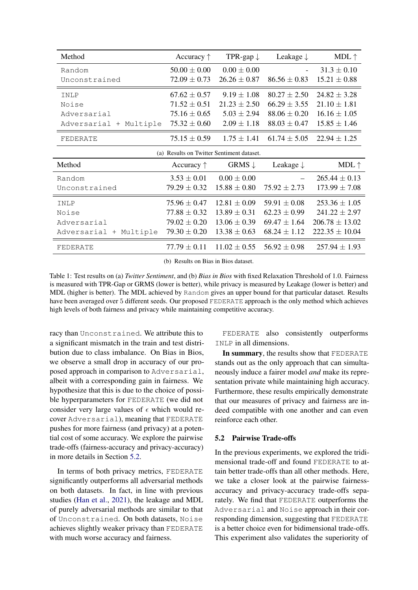<span id="page-6-0"></span>

| Method                                    | Accuracy $\uparrow$ | TPR-gap $\downarrow$ | Leakage $\downarrow$     | $MDL$ $\uparrow$   |  |  |
|-------------------------------------------|---------------------|----------------------|--------------------------|--------------------|--|--|
| Random                                    | $50.00 \pm 0.00$    | $0.00 \pm 0.00$      | $\overline{\phantom{a}}$ | $31.3 \pm 0.10$    |  |  |
| Unconstrained                             | $72.09 \pm 0.73$    | $26.26 \pm 0.87$     | $86.56 \pm 0.83$         | $15.21 \pm 0.88$   |  |  |
| INLP                                      | $67.62 \pm 0.57$    | $9.19 \pm 1.08$      | $80.27 \pm 2.50$         | $24.82 \pm 3.28$   |  |  |
| Noise                                     | $71.52 \pm 0.51$    | $21.23 \pm 2.50$     | $66.29 \pm 3.55$         | $21.10 \pm 1.81$   |  |  |
| Adversarial                               | $75.16 \pm 0.65$    | $5.03 \pm 2.94$      | $88.06 \pm 0.20$         | $16.16 \pm 1.05$   |  |  |
| Adversarial + Multiple                    | $75.32 \pm 0.60$    | $2.09 \pm 1.18$      | $88.03 \pm 0.47$         | $15.85 \pm 1.46$   |  |  |
| FEDERATE                                  | $75.15 \pm 0.59$    | $1.75 \pm 1.41$      | $61.74 \pm 5.05$         | $22.94 \pm 1.25$   |  |  |
| (a) Results on Twitter Sentiment dataset. |                     |                      |                          |                    |  |  |
| Method                                    | Accuracy $\uparrow$ | GRMS $\downarrow$    | Leakage $\downarrow$     | $MDL$ $\uparrow$   |  |  |
| Random                                    | $3.53 \pm 0.01$     | $0.00 \pm 0.00$      |                          | $265.44 \pm 0.13$  |  |  |
| Unconstrained                             | $79.29 \pm 0.32$    | $15.88 \pm 0.80$     | $75.92 \pm 2.73$         | $173.99 \pm 7.08$  |  |  |
| INLP                                      | $75.96 \pm 0.47$    | $12.81 \pm 0.09$     | $59.91 \pm 0.08$         | $253.36 \pm 1.05$  |  |  |
| Noise                                     | $77.88 \pm 0.32$    | $13.89 \pm 0.31$     | $62.23 \pm 0.99$         | $241.22 \pm 2.97$  |  |  |
| Adversarial                               | $79.02 \pm 0.20$    | $13.06 \pm 0.39$     | $69.47 \pm 1.64$         | $206.78 \pm 13.02$ |  |  |
| Adversarial + Multiple                    | $79.30 \pm 0.20$    | $13.38 \pm 0.63$     | $68.24 \pm 1.12$         | $222.35 \pm 10.04$ |  |  |
| FEDERATE                                  | $77.79 \pm 0.11$    | $11.02 \pm 0.55$     | $56.92 \pm 0.98$         | $257.94 \pm 1.93$  |  |  |
|                                           |                     |                      |                          |                    |  |  |

(b) Results on Bias in Bios dataset.

Table 1: Test results on (a) *Twitter Sentiment*, and (b) *Bias in Bios* with fixed Relaxation Threshold of 1.0. Fairness is measured with TPR-Gap or GRMS (lower is better), while privacy is measured by Leakage (lower is better) and MDL (higher is better). The MDL achieved by Random gives an upper bound for that particular dataset. Results have been averaged over 5 different seeds. Our proposed FEDERATE approach is the only method which achieves high levels of both fairness and privacy while maintaining competitive accuracy.

racy than Unconstrained. We attribute this to a significant mismatch in the train and test distribution due to class imbalance. On Bias in Bios, we observe a small drop in accuracy of our proposed approach in comparison to Adversarial, albeit with a corresponding gain in fairness. We hypothesize that this is due to the choice of possible hyperparameters for FEDERATE (we did not consider very large values of  $\epsilon$  which would recover Adversarial), meaning that FEDERATE pushes for more fairness (and privacy) at a potential cost of some accuracy. We explore the pairwise trade-offs (fairness-accuracy and privacy-accuracy) in more details in Section [5.2.](#page-6-1)

In terms of both privacy metrics, FEDERATE significantly outperforms all adversarial methods on both datasets. In fact, in line with previous studies [\(Han et al.,](#page-9-3) [2021\)](#page-9-3), the leakage and MDL of purely adversarial methods are similar to that of Unconstrained. On both datasets, Noise achieves slightly weaker privacy than FEDERATE with much worse accuracy and fairness.

FEDERATE also consistently outperforms INLP in all dimensions.

In summary, the results show that FEDERATE stands out as the only approach that can simultaneously induce a fairer model *and* make its representation private while maintaining high accuracy. Furthermore, these results empirically demonstrate that our measures of privacy and fairness are indeed compatible with one another and can even reinforce each other.

#### <span id="page-6-1"></span>5.2 Pairwise Trade-offs

In the previous experiments, we explored the tridimensional trade-off and found FEDERATE to attain better trade-offs than all other methods. Here, we take a closer look at the pairwise fairnessaccuracy and privacy-accuracy trade-offs separately. We find that FEDERATE outperforms the Adversarial and Noise approach in their corresponding dimension, suggesting that FEDERATE is a better choice even for bidimensional trade-offs. This experiment also validates the superiority of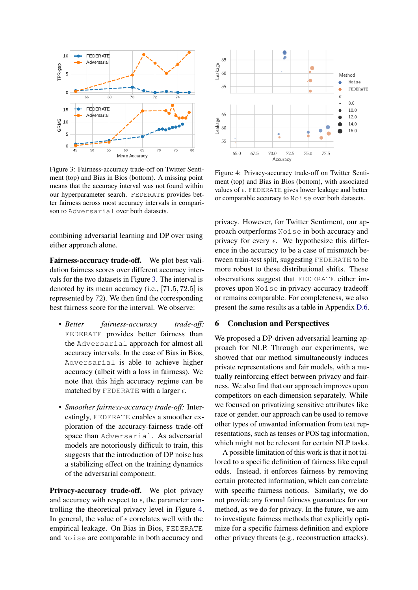<span id="page-7-1"></span>

Figure 3: Fairness-accuracy trade-off on Twitter Sentiment (top) and Bias in Bios (bottom). A missing point means that the accuracy interval was not found within our hyperparameter search. FEDERATE provides better fairness across most accuracy intervals in comparison to Adversarial over both datasets.

combining adversarial learning and DP over using either approach alone.

Fairness-accuracy trade-off. We plot best validation fairness scores over different accuracy intervals for the two datasets in Figure [3.](#page-7-1) The interval is denoted by its mean accuracy (i.e., [71.5, 72.5] is represented by 72). We then find the corresponding best fairness score for the interval. We observe:

- *Better fairness-accuracy trade-off:* FEDERATE provides better fairness than the Adversarial approach for almost all accuracy intervals. In the case of Bias in Bios, Adversarial is able to achieve higher accuracy (albeit with a loss in fairness). We note that this high accuracy regime can be matched by FEDERATE with a larger  $\epsilon$ .
- *Smoother fairness-accuracy trade-off:* Interestingly, FEDERATE enables a smoother exploration of the accuracy-fairness trade-off space than Adversarial. As adversarial models are notoriously difficult to train, this suggests that the introduction of DP noise has a stabilizing effect on the training dynamics of the adversarial component.

Privacy-accuracy trade-off. We plot privacy and accuracy with respect to  $\epsilon$ , the parameter controlling the theoretical privacy level in Figure [4.](#page-7-2) In general, the value of  $\epsilon$  correlates well with the empirical leakage. On Bias in Bios, FEDERATE and Noise are comparable in both accuracy and

<span id="page-7-2"></span>

Figure 4: Privacy-accuracy trade-off on Twitter Sentiment (top) and Bias in Bios (bottom), with associated values of  $\epsilon$ . FEDERATE gives lower leakage and better or comparable accuracy to Noise over both datasets.

privacy. However, for Twitter Sentiment, our approach outperforms Noise in both accuracy and privacy for every  $\epsilon$ . We hypothesize this difference in the accuracy to be a case of mismatch between train-test split, suggesting FEDERATE to be more robust to these distributional shifts. These observations suggest that FEDERATE either improves upon Noise in privacy-accuracy tradeoff or remains comparable. For completeness, we also present the same results as a table in Appendix [D.6.](#page-14-2)

# <span id="page-7-0"></span>6 Conclusion and Perspectives

We proposed a DP-driven adversarial learning approach for NLP. Through our experiments, we showed that our method simultaneously induces private representations and fair models, with a mutually reinforcing effect between privacy and fairness. We also find that our approach improves upon competitors on each dimension separately. While we focused on privatizing sensitive attributes like race or gender, our approach can be used to remove other types of unwanted information from text representations, such as tenses or POS tag information, which might not be relevant for certain NLP tasks.

A possible limitation of this work is that it not tailored to a specific definition of fairness like equal odds. Instead, it enforces fairness by removing certain protected information, which can correlate with specific fairness notions. Similarly, we do not provide any formal fairness guarantees for our method, as we do for privacy. In the future, we aim to investigate fairness methods that explicitly optimize for a specific fairness definition and explore other privacy threats (e.g., reconstruction attacks).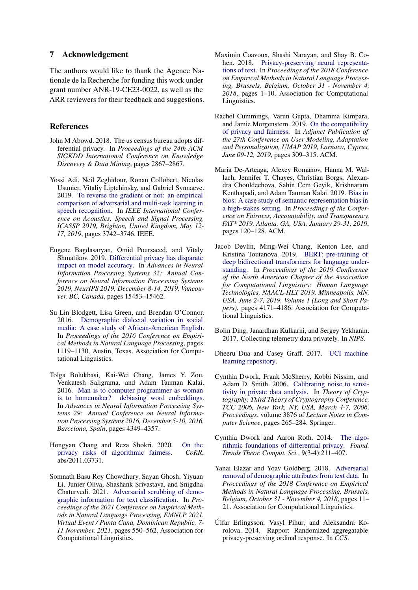## 7 Acknowledgement

The authors would like to thank the Agence Nationale de la Recherche for funding this work under grant number ANR-19-CE23-0022, as well as the ARR reviewers for their feedback and suggestions.

### References

- <span id="page-8-8"></span>John M Abowd. 2018. The us census bureau adopts differential privacy. In *Proceedings of the 24th ACM SIGKDD International Conference on Knowledge Discovery & Data Mining*, pages 2867–2867.
- <span id="page-8-16"></span>Yossi Adi, Neil Zeghidour, Ronan Collobert, Nicolas Usunier, Vitaliy Liptchinsky, and Gabriel Synnaeve. 2019. [To reverse the gradient or not: an empirical](https://doi.org/10.1109/ICASSP.2019.8682468) [comparison of adversarial and multi-task learning in](https://doi.org/10.1109/ICASSP.2019.8682468) [speech recognition.](https://doi.org/10.1109/ICASSP.2019.8682468) In *IEEE International Conference on Acoustics, Speech and Signal Processing, ICASSP 2019, Brighton, United Kingdom, May 12- 17, 2019*, pages 3742–3746. IEEE.
- <span id="page-8-0"></span>Eugene Bagdasaryan, Omid Poursaeed, and Vitaly Shmatikov. 2019. [Differential privacy has disparate](https://proceedings.neurips.cc/paper/2019/hash/fc0de4e0396fff257ea362983c2dda5a-Abstract.html) [impact on model accuracy.](https://proceedings.neurips.cc/paper/2019/hash/fc0de4e0396fff257ea362983c2dda5a-Abstract.html) In *Advances in Neural Information Processing Systems 32: Annual Conference on Neural Information Processing Systems 2019, NeurIPS 2019, December 8-14, 2019, Vancouver, BC, Canada*, pages 15453–15462.
- <span id="page-8-13"></span>Su Lin Blodgett, Lisa Green, and Brendan O'Connor. 2016. [Demographic dialectal variation in social](https://doi.org/10.18653/v1/D16-1120) [media: A case study of African-American English.](https://doi.org/10.18653/v1/D16-1120) In *Proceedings of the 2016 Conference on Empirical Methods in Natural Language Processing*, pages 1119–1130, Austin, Texas. Association for Computational Linguistics.
- <span id="page-8-4"></span>Tolga Bolukbasi, Kai-Wei Chang, James Y. Zou, Venkatesh Saligrama, and Adam Tauman Kalai. 2016. [Man is to computer programmer as woman](https://proceedings.neurips.cc/paper/2016/hash/a486cd07e4ac3d270571622f4f316ec5-Abstract.html) [is to homemaker? debiasing word embeddings.](https://proceedings.neurips.cc/paper/2016/hash/a486cd07e4ac3d270571622f4f316ec5-Abstract.html) In *Advances in Neural Information Processing Systems 29: Annual Conference on Neural Information Processing Systems 2016, December 5-10, 2016, Barcelona, Spain*, pages 4349–4357.
- <span id="page-8-2"></span>Hongyan Chang and Reza Shokri. 2020. [On the](http://arxiv.org/abs/2011.03731) [privacy risks of algorithmic fairness.](http://arxiv.org/abs/2011.03731) *CoRR*, abs/2011.03731.
- <span id="page-8-12"></span>Somnath Basu Roy Chowdhury, Sayan Ghosh, Yiyuan Li, Junier Oliva, Shashank Srivastava, and Snigdha Chaturvedi. 2021. [Adversarial scrubbing of demo](https://doi.org/10.18653/v1/2021.emnlp-main.43)[graphic information for text classification.](https://doi.org/10.18653/v1/2021.emnlp-main.43) In *Proceedings of the 2021 Conference on Empirical Methods in Natural Language Processing, EMNLP 2021, Virtual Event / Punta Cana, Dominican Republic, 7- 11 November, 2021*, pages 550–562. Association for Computational Linguistics.
- <span id="page-8-5"></span>Maximin Coavoux, Shashi Narayan, and Shay B. Cohen. 2018. [Privacy-preserving neural representa](https://doi.org/10.18653/v1/d18-1001)[tions of text.](https://doi.org/10.18653/v1/d18-1001) In *Proceedings of the 2018 Conference on Empirical Methods in Natural Language Processing, Brussels, Belgium, October 31 - November 4, 2018*, pages 1–10. Association for Computational Linguistics.
- <span id="page-8-1"></span>Rachel Cummings, Varun Gupta, Dhamma Kimpara, and Jamie Morgenstern. 2019. [On the compatibility](https://doi.org/10.1145/3314183.3323847) [of privacy and fairness.](https://doi.org/10.1145/3314183.3323847) In *Adjunct Publication of the 27th Conference on User Modeling, Adaptation and Personalization, UMAP 2019, Larnaca, Cyprus, June 09-12, 2019*, pages 309–315. ACM.
- <span id="page-8-3"></span>Maria De-Arteaga, Alexey Romanov, Hanna M. Wallach, Jennifer T. Chayes, Christian Borgs, Alexandra Chouldechova, Sahin Cem Geyik, Krishnaram Kenthapadi, and Adam Tauman Kalai. 2019. [Bias in](https://doi.org/10.1145/3287560.3287572) [bios: A case study of semantic representation bias in](https://doi.org/10.1145/3287560.3287572) [a high-stakes setting.](https://doi.org/10.1145/3287560.3287572) In *Proceedings of the Conference on Fairness, Accountability, and Transparency, FAT\* 2019, Atlanta, GA, USA, January 29-31, 2019*, pages 120–128. ACM.
- <span id="page-8-14"></span>Jacob Devlin, Ming-Wei Chang, Kenton Lee, and Kristina Toutanova. 2019. [BERT: pre-training of](https://doi.org/10.18653/v1/n19-1423) [deep bidirectional transformers for language under](https://doi.org/10.18653/v1/n19-1423)[standing.](https://doi.org/10.18653/v1/n19-1423) In *Proceedings of the 2019 Conference of the North American Chapter of the Association for Computational Linguistics: Human Language Technologies, NAACL-HLT 2019, Minneapolis, MN, USA, June 2-7, 2019, Volume 1 (Long and Short Papers)*, pages 4171–4186. Association for Computational Linguistics.
- <span id="page-8-10"></span>Bolin Ding, Janardhan Kulkarni, and Sergey Yekhanin. 2017. Collecting telemetry data privately. In *NIPS*.
- <span id="page-8-15"></span>Dheeru Dua and Casey Graff. 2017. [UCI machine](http://archive.ics.uci.edu/ml) [learning repository.](http://archive.ics.uci.edu/ml)
- <span id="page-8-7"></span>Cynthia Dwork, Frank McSherry, Kobbi Nissim, and Adam D. Smith. 2006. [Calibrating noise to sensi](https://doi.org/10.1007/11681878_14)[tivity in private data analysis.](https://doi.org/10.1007/11681878_14) In *Theory of Cryptography, Third Theory of Cryptography Conference, TCC 2006, New York, NY, USA, March 4-7, 2006, Proceedings*, volume 3876 of *Lecture Notes in Computer Science*, pages 265–284. Springer.
- <span id="page-8-11"></span>Cynthia Dwork and Aaron Roth. 2014. [The algo](https://doi.org/10.1561/0400000042)[rithmic foundations of differential privacy.](https://doi.org/10.1561/0400000042) *Found. Trends Theor. Comput. Sci.*, 9(3-4):211–407.
- <span id="page-8-6"></span>Yanai Elazar and Yoav Goldberg. 2018. [Adversarial](https://doi.org/10.18653/v1/d18-1002) [removal of demographic attributes from text data.](https://doi.org/10.18653/v1/d18-1002) In *Proceedings of the 2018 Conference on Empirical Methods in Natural Language Processing, Brussels, Belgium, October 31 - November 4, 2018*, pages 11– 21. Association for Computational Linguistics.
- <span id="page-8-9"></span>Úlfar Erlingsson, Vasyl Pihur, and Aleksandra Korolova. 2014. Rappor: Randomized aggregatable privacy-preserving ordinal response. In *CCS*.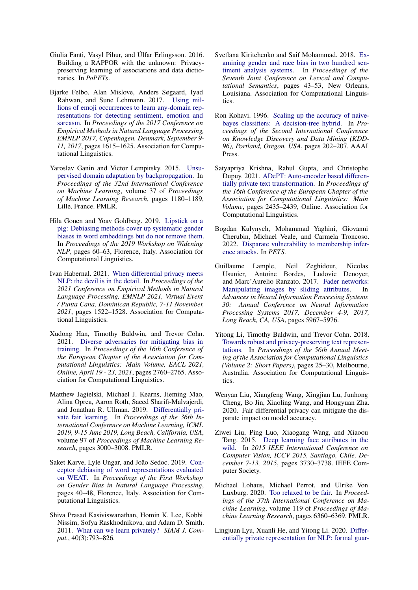- <span id="page-9-6"></span>Giulia Fanti, Vasyl Pihur, and Úlfar Erlingsson. 2016. Building a RAPPOR with the unknown: Privacypreserving learning of associations and data dictionaries. In *PoPETs*.
- <span id="page-9-16"></span>Bjarke Felbo, Alan Mislove, Anders Søgaard, Iyad Rahwan, and Sune Lehmann. 2017. [Using mil](https://doi.org/10.18653/v1/d17-1169)[lions of emoji occurrences to learn any-domain rep](https://doi.org/10.18653/v1/d17-1169)[resentations for detecting sentiment, emotion and](https://doi.org/10.18653/v1/d17-1169) [sarcasm.](https://doi.org/10.18653/v1/d17-1169) In *Proceedings of the 2017 Conference on Empirical Methods in Natural Language Processing, EMNLP 2017, Copenhagen, Denmark, September 9- 11, 2017*, pages 1615–1625. Association for Computational Linguistics.
- <span id="page-9-8"></span>Yaroslav Ganin and Victor Lempitsky. 2015. [Unsu](https://proceedings.mlr.press/v37/ganin15.html)[pervised domain adaptation by backpropagation.](https://proceedings.mlr.press/v37/ganin15.html) In *Proceedings of the 32nd International Conference on Machine Learning*, volume 37 of *Proceedings of Machine Learning Research*, pages 1180–1189, Lille, France. PMLR.
- <span id="page-9-4"></span>Hila Gonen and Yoav Goldberg. 2019. [Lipstick on a](https://www.aclweb.org/anthology/W19-3621) [pig: Debiasing methods cover up systematic gender](https://www.aclweb.org/anthology/W19-3621) [biases in word embeddings but do not remove them.](https://www.aclweb.org/anthology/W19-3621) In *Proceedings of the 2019 Workshop on Widening NLP*, pages 60–63, Florence, Italy. Association for Computational Linguistics.
- <span id="page-9-9"></span>Ivan Habernal. 2021. [When differential privacy meets](https://doi.org/10.18653/v1/2021.emnlp-main.114) [NLP: the devil is in the detail.](https://doi.org/10.18653/v1/2021.emnlp-main.114) In *Proceedings of the 2021 Conference on Empirical Methods in Natural Language Processing, EMNLP 2021, Virtual Event / Punta Cana, Dominican Republic, 7-11 November, 2021*, pages 1522–1528. Association for Computational Linguistics.
- <span id="page-9-3"></span>Xudong Han, Timothy Baldwin, and Trevor Cohn. 2021. [Diverse adversaries for mitigating bias in](https://aclanthology.org/2021.eacl-main.239/) [training.](https://aclanthology.org/2021.eacl-main.239/) In *Proceedings of the 16th Conference of the European Chapter of the Association for Computational Linguistics: Main Volume, EACL 2021, Online, April 19 - 23, 2021*, pages 2760–2765. Association for Computational Linguistics.
- <span id="page-9-13"></span>Matthew Jagielski, Michael J. Kearns, Jieming Mao, Alina Oprea, Aaron Roth, Saeed Sharifi-Malvajerdi, and Jonathan R. Ullman. 2019. [Differentially pri](http://proceedings.mlr.press/v97/jagielski19a.html)[vate fair learning.](http://proceedings.mlr.press/v97/jagielski19a.html) In *Proceedings of the 36th International Conference on Machine Learning, ICML 2019, 9-15 June 2019, Long Beach, California, USA*, volume 97 of *Proceedings of Machine Learning Research*, pages 3000–3008. PMLR.
- <span id="page-9-1"></span>Saket Karve, Lyle Ungar, and João Sedoc. 2019. [Con](https://doi.org/10.18653/v1/W19-3806)[ceptor debiasing of word representations evaluated](https://doi.org/10.18653/v1/W19-3806) [on WEAT.](https://doi.org/10.18653/v1/W19-3806) In *Proceedings of the First Workshop on Gender Bias in Natural Language Processing*, pages 40–48, Florence, Italy. Association for Computational Linguistics.
- <span id="page-9-7"></span>Shiva Prasad Kasiviswanathan, Homin K. Lee, Kobbi Nissim, Sofya Raskhodnikova, and Adam D. Smith. 2011. [What can we learn privately?](https://doi.org/10.1137/090756090) *SIAM J. Comput.*, 40(3):793–826.
- <span id="page-9-0"></span>Svetlana Kiritchenko and Saif Mohammad. 2018. [Ex](https://doi.org/10.18653/v1/S18-2005)[amining gender and race bias in two hundred sen](https://doi.org/10.18653/v1/S18-2005)[timent analysis systems.](https://doi.org/10.18653/v1/S18-2005) In *Proceedings of the Seventh Joint Conference on Lexical and Computational Semantics*, pages 43–53, New Orleans, Louisiana. Association for Computational Linguistics.
- <span id="page-9-15"></span>Ron Kohavi. 1996. [Scaling up the accuracy of naive](http://www.aaai.org/Library/KDD/1996/kdd96-033.php)[bayes classifiers: A decision-tree hybrid.](http://www.aaai.org/Library/KDD/1996/kdd96-033.php) In *Proceedings of the Second International Conference on Knowledge Discovery and Data Mining (KDD-96), Portland, Oregon, USA*, pages 202–207. AAAI **Press**.
- <span id="page-9-10"></span>Satyapriya Krishna, Rahul Gupta, and Christophe Dupuy. 2021. [ADePT: Auto-encoder based differen](https://doi.org/10.18653/v1/2021.eacl-main.207)[tially private text transformation.](https://doi.org/10.18653/v1/2021.eacl-main.207) In *Proceedings of the 16th Conference of the European Chapter of the Association for Computational Linguistics: Main Volume*, pages 2435–2439, Online. Association for Computational Linguistics.
- <span id="page-9-11"></span>Bogdan Kulynych, Mohammad Yaghini, Giovanni Cherubin, Michael Veale, and Carmela Troncoso. 2022. [Disparate vulnerability to membership infer](http://arxiv.org/abs/1906.00389)[ence attacks.](http://arxiv.org/abs/1906.00389) In *PETS*.
- <span id="page-9-18"></span>Guillaume Lample, Neil Zeghidour, Nicolas Usunier, Antoine Bordes, Ludovic Denoyer, and Marc'Aurelio Ranzato. 2017. [Fader networks:](https://proceedings.neurips.cc/paper/2017/hash/3fd60983292458bf7dee75f12d5e9e05-Abstract.html) [Manipulating images by sliding attributes.](https://proceedings.neurips.cc/paper/2017/hash/3fd60983292458bf7dee75f12d5e9e05-Abstract.html) In *Advances in Neural Information Processing Systems 30: Annual Conference on Neural Information Processing Systems 2017, December 4-9, 2017, Long Beach, CA, USA*, pages 5967–5976.
- <span id="page-9-2"></span>Yitong Li, Timothy Baldwin, and Trevor Cohn. 2018. [Towards robust and privacy-preserving text represen](https://doi.org/10.18653/v1/P18-2005)[tations.](https://doi.org/10.18653/v1/P18-2005) In *Proceedings of the 56th Annual Meeting of the Association for Computational Linguistics (Volume 2: Short Papers)*, pages 25–30, Melbourne, Australia. Association for Computational Linguistics.
- <span id="page-9-12"></span>Wenyan Liu, Xiangfeng Wang, Xingjian Lu, Junhong Cheng, Bo Jin, Xiaoling Wang, and Hongyuan Zha. 2020. Fair differential privacy can mitigate the disparate impact on model accuracy.
- <span id="page-9-14"></span>Ziwei Liu, Ping Luo, Xiaogang Wang, and Xiaoou Tang. 2015. [Deep learning face attributes in the](https://doi.org/10.1109/ICCV.2015.425) [wild.](https://doi.org/10.1109/ICCV.2015.425) In *2015 IEEE International Conference on Computer Vision, ICCV 2015, Santiago, Chile, December 7-13, 2015*, pages 3730–3738. IEEE Computer Society.
- <span id="page-9-17"></span>Michael Lohaus, Michael Perrot, and Ulrike Von Luxburg. 2020. [Too relaxed to be fair.](https://proceedings.mlr.press/v119/lohaus20a.html) In *Proceedings of the 37th International Conference on Machine Learning*, volume 119 of *Proceedings of Machine Learning Research*, pages 6360–6369. PMLR.
- <span id="page-9-5"></span>Lingjuan Lyu, Xuanli He, and Yitong Li. 2020. [Differ](https://doi.org/10.18653/v1/2020.findings-emnlp.213)[entially private representation for NLP: formal guar-](https://doi.org/10.18653/v1/2020.findings-emnlp.213)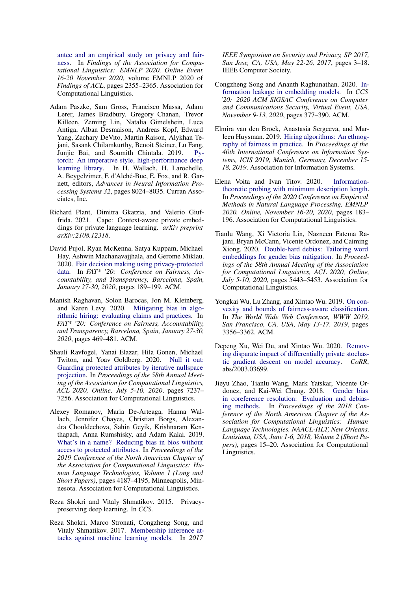[antee and an empirical study on privacy and fair](https://doi.org/10.18653/v1/2020.findings-emnlp.213)[ness.](https://doi.org/10.18653/v1/2020.findings-emnlp.213) In *Findings of the Association for Computational Linguistics: EMNLP 2020, Online Event, 16-20 November 2020*, volume EMNLP 2020 of *Findings of ACL*, pages 2355–2365. Association for Computational Linguistics.

- <span id="page-10-12"></span>Adam Paszke, Sam Gross, Francisco Massa, Adam Lerer, James Bradbury, Gregory Chanan, Trevor Killeen, Zeming Lin, Natalia Gimelshein, Luca Antiga, Alban Desmaison, Andreas Kopf, Edward Yang, Zachary DeVito, Martin Raison, Alykhan Tejani, Sasank Chilamkurthy, Benoit Steiner, Lu Fang, Junjie Bai, and Soumith Chintala. 2019. [Py](http://papers.neurips.cc/paper/9015-pytorch-an-imperative-style-high-performance-deep-learning-library.pdf)[torch: An imperative style, high-performance deep](http://papers.neurips.cc/paper/9015-pytorch-an-imperative-style-high-performance-deep-learning-library.pdf) [learning library.](http://papers.neurips.cc/paper/9015-pytorch-an-imperative-style-high-performance-deep-learning-library.pdf) In H. Wallach, H. Larochelle, A. Beygelzimer, F. d'Alché-Buc, E. Fox, and R. Garnett, editors, *Advances in Neural Information Processing Systems 32*, pages 8024–8035. Curran Associates, Inc.
- <span id="page-10-8"></span>Richard Plant, Dimitra Gkatzia, and Valerio Giuffrida. 2021. Cape: Context-aware private embeddings for private language learning. *arXiv preprint arXiv:2108.12318*.
- <span id="page-10-3"></span>David Pujol, Ryan McKenna, Satya Kuppam, Michael Hay, Ashwin Machanavajjhala, and Gerome Miklau. 2020. [Fair decision making using privacy-protected](https://doi.org/10.1145/3351095.3372872) [data.](https://doi.org/10.1145/3351095.3372872) In *FAT\* '20: Conference on Fairness, Accountability, and Transparency, Barcelona, Spain, January 27-30, 2020*, pages 189–199. ACM.
- <span id="page-10-0"></span>Manish Raghavan, Solon Barocas, Jon M. Kleinberg, and Karen Levy. 2020. [Mitigating bias in algo](https://doi.org/10.1145/3351095.3372828)[rithmic hiring: evaluating claims and practices.](https://doi.org/10.1145/3351095.3372828) In *FAT\* '20: Conference on Fairness, Accountability, and Transparency, Barcelona, Spain, January 27-30, 2020*, pages 469–481. ACM.
- <span id="page-10-7"></span>Shauli Ravfogel, Yanai Elazar, Hila Gonen, Michael Twiton, and Yoav Goldberg. 2020. [Null it out:](https://doi.org/10.18653/v1/2020.acl-main.647) [Guarding protected attributes by iterative nullspace](https://doi.org/10.18653/v1/2020.acl-main.647) [projection.](https://doi.org/10.18653/v1/2020.acl-main.647) In *Proceedings of the 58th Annual Meeting of the Association for Computational Linguistics, ACL 2020, Online, July 5-10, 2020*, pages 7237– 7256. Association for Computational Linguistics.
- <span id="page-10-10"></span>Alexey Romanov, Maria De-Arteaga, Hanna Wallach, Jennifer Chayes, Christian Borgs, Alexandra Chouldechova, Sahin Geyik, Krishnaram Kenthapadi, Anna Rumshisky, and Adam Kalai. 2019. [What's in a name? Reducing bias in bios without](https://doi.org/10.18653/v1/N19-1424) [access to protected attributes.](https://doi.org/10.18653/v1/N19-1424) In *Proceedings of the 2019 Conference of the North American Chapter of the Association for Computational Linguistics: Human Language Technologies, Volume 1 (Long and Short Papers)*, pages 4187–4195, Minneapolis, Minnesota. Association for Computational Linguistics.
- <span id="page-10-13"></span>Reza Shokri and Vitaly Shmatikov. 2015. Privacypreserving deep learning. In *CCS*.
- <span id="page-10-2"></span>Reza Shokri, Marco Stronati, Congzheng Song, and Vitaly Shmatikov. 2017. [Membership inference at](https://doi.org/10.1109/SP.2017.41)[tacks against machine learning models.](https://doi.org/10.1109/SP.2017.41) In *2017*

*IEEE Symposium on Security and Privacy, SP 2017, San Jose, CA, USA, May 22-26, 2017*, pages 3–18. IEEE Computer Society.

- <span id="page-10-4"></span>Congzheng Song and Ananth Raghunathan. 2020. [In](https://doi.org/10.1145/3372297.3417270)[formation leakage in embedding models.](https://doi.org/10.1145/3372297.3417270) In *CCS '20: 2020 ACM SIGSAC Conference on Computer and Communications Security, Virtual Event, USA, November 9-13, 2020*, pages 377–390. ACM.
- <span id="page-10-1"></span>Elmira van den Broek, Anastasia Sergeeva, and Marleen Huysman. 2019. [Hiring algorithms: An ethnog](https://aisel.aisnet.org/icis2019/future_of_work/future_work/6)[raphy of fairness in practice.](https://aisel.aisnet.org/icis2019/future_of_work/future_work/6) In *Proceedings of the 40th International Conference on Information Systems, ICIS 2019, Munich, Germany, December 15- 18, 2019*. Association for Information Systems.
- <span id="page-10-11"></span>Elena Voita and Ivan Titov. 2020. [Information](https://doi.org/10.18653/v1/2020.emnlp-main.14)[theoretic probing with minimum description length.](https://doi.org/10.18653/v1/2020.emnlp-main.14) In *Proceedings of the 2020 Conference on Empirical Methods in Natural Language Processing, EMNLP 2020, Online, November 16-20, 2020*, pages 183– 196. Association for Computational Linguistics.
- <span id="page-10-6"></span>Tianlu Wang, Xi Victoria Lin, Nazneen Fatema Rajani, Bryan McCann, Vicente Ordonez, and Caiming Xiong. 2020. [Double-hard debias: Tailoring word](https://doi.org/10.18653/v1/2020.acl-main.484) [embeddings for gender bias mitigation.](https://doi.org/10.18653/v1/2020.acl-main.484) In *Proceedings of the 58th Annual Meeting of the Association for Computational Linguistics, ACL 2020, Online, July 5-10, 2020*, pages 5443–5453. Association for Computational Linguistics.
- <span id="page-10-14"></span>Yongkai Wu, Lu Zhang, and Xintao Wu. 2019. [On con](https://doi.org/10.1145/3308558.3313723)[vexity and bounds of fairness-aware classification.](https://doi.org/10.1145/3308558.3313723) In *The World Wide Web Conference, WWW 2019, San Francisco, CA, USA, May 13-17, 2019*, pages 3356–3362. ACM.
- <span id="page-10-9"></span>Depeng Xu, Wei Du, and Xintao Wu. 2020. [Remov](http://arxiv.org/abs/2003.03699)[ing disparate impact of differentially private stochas](http://arxiv.org/abs/2003.03699)[tic gradient descent on model accuracy.](http://arxiv.org/abs/2003.03699) *CoRR*, abs/2003.03699.
- <span id="page-10-5"></span>Jieyu Zhao, Tianlu Wang, Mark Yatskar, Vicente Ordonez, and Kai-Wei Chang. 2018. [Gender bias](https://doi.org/10.18653/v1/n18-2003) [in coreference resolution: Evaluation and debias](https://doi.org/10.18653/v1/n18-2003)[ing methods.](https://doi.org/10.18653/v1/n18-2003) In *Proceedings of the 2018 Conference of the North American Chapter of the Association for Computational Linguistics: Human Language Technologies, NAACL-HLT, New Orleans, Louisiana, USA, June 1-6, 2018, Volume 2 (Short Papers)*, pages 15–20. Association for Computational Linguistics.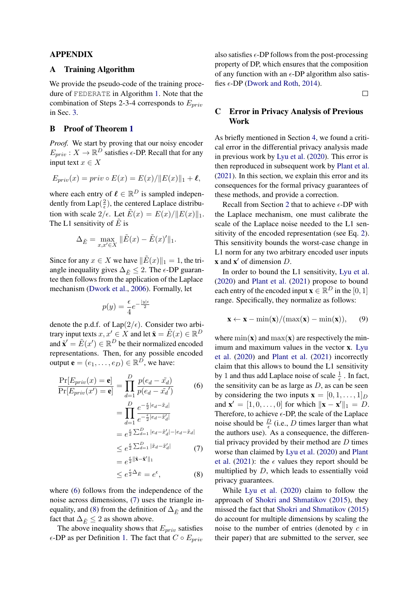## APPENDIX

# <span id="page-11-0"></span>A Training Algorithm

We provide the pseudo-code of the training procedure of FEDERATE in Algorithm [1.](#page-12-1) Note that the combination of Steps 2-3-4 corresponds to  $E_{priv}$ in Sec. [3.](#page-2-0)

# <span id="page-11-1"></span>B Proof of Theorem [1](#page-2-6)

*Proof.* We start by proving that our noisy encoder  $E_{priv}: X \to \mathbb{R}^D$  satisfies  $\epsilon$ -DP. Recall that for any input text  $x \in X$ 

$$
E_{priv}(x) = priv \circ E(x) = E(x)/||E(x)||_1 + \ell,
$$

where each entry of  $\ell \in \mathbb{R}^D$  is sampled independently from Lap( $\frac{2}{6}$  $(\frac{2}{\epsilon})$ , the centered Laplace distribution with scale  $2/\epsilon$ . Let  $\tilde{E}(x) = E(x)/||E(x)||_1$ . The L1 sensitivity of  $\tilde{E}$  is

$$
\Delta_{\tilde{E}} = \max_{x, x' \in X} \|\tilde{E}(x) - \tilde{E}(x)'\|_1.
$$

Since for any  $x \in X$  we have  $\|\tilde{E}(x)\|_1 = 1$ , the triangle inequality gives  $\Delta_{\tilde{E}} \leq 2$ . The  $\epsilon$ -DP guarantee then follows from the application of the Laplace mechanism [\(Dwork et al.,](#page-8-7) [2006\)](#page-8-7). Formally, let

$$
p(y) = \frac{\epsilon}{4}e^{-\frac{|y|\epsilon}{2}}
$$

denote the p.d.f. of Lap( $2/\epsilon$ ). Consider two arbitrary input texts  $x, x' \in X$  and let  $\tilde{\mathbf{x}} = \tilde{E}(x) \in \mathbb{R}^D$ and  $\tilde{\mathbf{x}}' = \tilde{E}(x') \in \mathbb{R}^D$  be their normalized encoded representations. Then, for any possible encoded output  $\mathbf{e} = (e_1, \dots, e_D) \in \mathbb{R}^D$ , we have:

$$
\frac{\Pr[E_{priv}(x) = \mathbf{e}]}{\Pr[E_{priv}(x') = \mathbf{e}]} = \prod_{d=1}^{D} \frac{p(e_d - \tilde{x}_d)}{p(e_d - \tilde{x}_d')}
$$
(6)

$$
= \prod_{d=1}^{D} \frac{e^{-\frac{\epsilon}{2}|e_d - \tilde{x}_d|}}{e^{-\frac{\epsilon}{2}|e_d - \tilde{x}'_d|}}
$$
  
\n
$$
= e^{\frac{\epsilon}{2} \sum_{d=1}^{D} |e_d - \tilde{x}'_d| - |e_d - \tilde{x}_d|}
$$
  
\n
$$
\leq e^{\frac{\epsilon}{2} \sum_{d=1}^{D} |\tilde{x}_d - \tilde{x}'_d|} \qquad (7)
$$
  
\n
$$
= e^{\frac{\epsilon}{2} ||\tilde{\mathbf{x}} - \tilde{\mathbf{x}}'||_1}
$$
  
\n
$$
\leq e^{\frac{\epsilon}{2} \Delta} \tilde{E} = e^{\epsilon}, \qquad (8)
$$

where [\(6\)](#page-11-3) follows from the independence of the noise across dimensions, [\(7\)](#page-11-4) uses the triangle in-equality, and [\(8\)](#page-11-5) from the definition of  $\Delta_{\tilde{E}}$  and the fact that  $\Delta_{\tilde{E}} \leq 2$  as shown above.

The above inequality shows that  $E_{priv}$  satisfies  $\epsilon$ -DP as per Definition [1.](#page-1-1) The fact that  $C \circ E_{priv}$ 

also satisfies  $\epsilon$ -DP follows from the post-processing property of DP, which ensures that the composition of any function with an  $\epsilon$ -DP algorithm also satisfies  $\epsilon$ -DP [\(Dwork and Roth,](#page-8-11) [2014\)](#page-8-11).

 $\Box$ 

# <span id="page-11-2"></span>C Error in Privacy Analysis of Previous Work

As briefly mentioned in Section [4,](#page-3-0) we found a critical error in the differential privacy analysis made in previous work by [Lyu et al.](#page-9-5) [\(2020\)](#page-9-5). This error is then reproduced in subsequent work by [Plant et al.](#page-10-8) [\(2021\)](#page-10-8). In this section, we explain this error and its consequences for the formal privacy guarantees of these methods, and provide a correction.

Recall from Section [2](#page-1-0) that to achieve  $\epsilon$ -DP with the Laplace mechanism, one must calibrate the scale of the Laplace noise needed to the L1 sensitivity of the encoded representation (see Eq. [2\)](#page-1-2). This sensitivity bounds the worst-case change in L1 norm for any two arbitrary encoded user inputs  $x$  and  $x'$  of dimension  $D$ .

In order to bound the L1 sensitivity, [Lyu et al.](#page-9-5) [\(2020\)](#page-9-5) and [Plant et al.](#page-10-8) [\(2021\)](#page-10-8) propose to bound each entry of the encoded input  $\mathbf{x} \in \mathbb{R}^D$  in the  $[0, 1]$ range. Specifically, they normalize as follows:

$$
\mathbf{x} \leftarrow \mathbf{x} - \min(\mathbf{x})/(\max(\mathbf{x}) - \min(\mathbf{x})), \qquad (9)
$$

<span id="page-11-3"></span>where  $\min(x)$  and  $\max(x)$  are respectively the minimum and maximum values in the vector x. [Lyu](#page-9-5) [et al.](#page-9-5) [\(2020\)](#page-9-5) and [Plant et al.](#page-10-8) [\(2021\)](#page-10-8) incorrectly claim that this allows to bound the L1 sensitivity by 1 and thus add Laplace noise of scale  $\frac{1}{\epsilon}$ . In fact, the sensitivity can be as large as  $D$ , as can be seen by considering the two inputs  $\mathbf{x} = [0, 1, \dots, 1]_D$ and  $\mathbf{x}' = [1, 0, \dots, 0]$  for which  $\|\mathbf{x} - \mathbf{x}'\|_1 = D$ . Therefore, to achieve  $\epsilon$ -DP, the scale of the Laplace noise should be  $\frac{D}{\epsilon}$  (i.e., D times larger than what the authors use). As a consequence, the differential privacy provided by their method are  $D$  times worse than claimed by [Lyu et al.](#page-9-5) [\(2020\)](#page-9-5) and [Plant](#page-10-8) [et al.](#page-10-8) [\(2021\)](#page-10-8): the  $\epsilon$  values they report should be multiplied by  $D$ , which leads to essentially void privacy guarantees.

<span id="page-11-5"></span><span id="page-11-4"></span>While [Lyu et al.](#page-9-5) [\(2020\)](#page-9-5) claim to follow the approach of [Shokri and Shmatikov](#page-10-13) [\(2015\)](#page-10-13), they missed the fact that [Shokri and Shmatikov](#page-10-13) [\(2015\)](#page-10-13) do account for multiple dimensions by scaling the noise to the number of entries (denoted by c in their paper) that are submitted to the server, see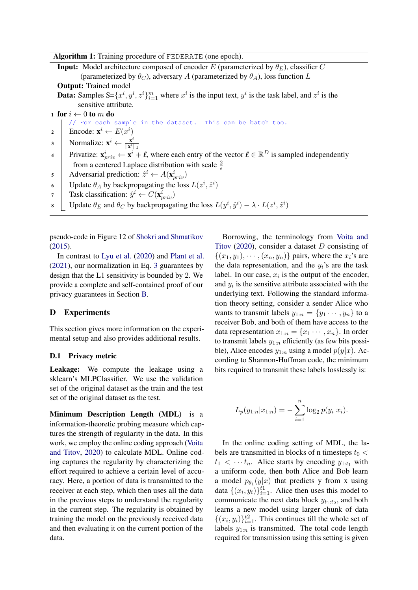#### Algorithm 1: Training procedure of FEDERATE (one epoch).

**Input:** Model architecture composed of encoder E (parameterized by  $\theta_E$ ), classifier C (parameterized by  $\theta_C$ ), adversary A (parameterized by  $\theta_A$ ), loss function L Output: Trained model

- **Data:** Samples  $S = \{x^i, y^i, z^i\}_{i=1}^m$  where  $x^i$  is the input text,  $y^i$  is the task label, and  $z^i$  is the sensitive attribute.
- 1 for  $i \leftarrow 0$  to m do

// For each sample in the dataset. This can be batch too.

- 2 | Encode:  $\mathbf{x}^i \leftarrow E(x^i)$
- 3 Normalize:  $\mathbf{x}^i \leftarrow \frac{\mathbf{x}^i}{\|\mathbf{x}^i\|}$  $\overline{\|\mathbf{x}^i\|_1}$
- 4 Privatize:  $\mathbf{x}_{priv}^i \leftarrow \mathbf{x}^i + \ell$ , where each entry of the vector  $\ell \in \mathbb{R}^D$  is sampled independently from a centered Laplace distribution with scale  $\frac{2}{\epsilon}$
- 5 Adversarial prediction:  $\hat{z}^i \leftarrow A(\mathbf{x}_{priv}^i)$
- 6 Update  $\theta_A$  by backpropagating the loss  $L(z^i, \hat{z}^i)$
- 7 | Task classification:  $\hat{y}^i \leftarrow C(\mathbf{x}_{priv}^i)$
- <span id="page-12-1"></span>s Update  $\theta_E$  and  $\theta_C$  by backpropagating the loss  $L(y^i, \hat{y}^i) - \lambda \cdot L(z^i, \hat{z}^i)$

pseudo-code in Figure 12 of [Shokri and Shmatikov](#page-10-13) [\(2015\)](#page-10-13).

In contrast to [Lyu et al.](#page-9-5) [\(2020\)](#page-9-5) and [Plant et al.](#page-10-8) [\(2021\)](#page-10-8), our normalization in Eq. [3](#page-2-7) guarantees by design that the L1 sensitivity is bounded by 2. We provide a complete and self-contained proof of our privacy guarantees in Section [B.](#page-11-1)

### D Experiments

This section gives more information on the experimental setup and also provides additional results.

## <span id="page-12-0"></span>D.1 Privacy metric

Leakage: We compute the leakage using a sklearn's MLPClassifier. We use the validation set of the original dataset as the train and the test set of the original dataset as the test.

Minimum Description Length (MDL) is a information-theoretic probing measure which captures the strength of regularity in the data. In this work, we employ the online coding approach [\(Voita](#page-10-11) [and Titov,](#page-10-11) [2020\)](#page-10-11) to calculate MDL. Online coding captures the regularity by characterizing the effort required to achieve a certain level of accuracy. Here, a portion of data is transmitted to the receiver at each step, which then uses all the data in the previous steps to understand the regularity in the current step. The regularity is obtained by training the model on the previously received data and then evaluating it on the current portion of the data.

Borrowing, the terminology from [Voita and](#page-10-11) [Titov](#page-10-11) [\(2020\)](#page-10-11), consider a dataset D consisting of  $\{(x_1, y_1), \cdots, (x_n, y_n)\}\$  pairs, where the  $x_i$ 's are the data representation, and the  $y_i$ 's are the task label. In our case,  $x_i$  is the output of the encoder, and  $y_i$  is the sensitive attribute associated with the underlying text. Following the standard information theory setting, consider a sender Alice who wants to transmit labels  $y_{1:n} = \{y_1 \cdots, y_n\}$  to a receiver Bob, and both of them have access to the data representation  $x_{1:n} = \{x_1 \cdots, x_n\}$ . In order to transmit labels  $y_{1:n}$  efficiently (as few bits possible), Alice encodes  $y_{1:n}$  using a model  $p(y|x)$ . According to Shannon-Huffman code, the minimum bits required to transmit these labels losslessly is:

$$
L_p(y_{1:n}|x_{1:n}) = -\sum_{i=1}^n \log_2 p(y_i|x_i).
$$

In the online coding setting of MDL, the labels are transmitted in blocks of n timesteps  $t_0$  <  $t_1 < \cdots t_n$ . Alice starts by encoding  $y_{1:t_1}$  with a uniform code, then both Alice and Bob learn a model  $p_{\theta_1}(y|x)$  that predicts y from x using data  $\{(x_i, y_i)\}_{i=1}^{t_1}$ . Alice then uses this model to communicate the next data block  $y_{t_1:t_2}$ , and both learns a new model using larger chunk of data  $\{(x_i, y_i)\}_{i=1}^{t_2}$ . This continues till the whole set of labels  $y_{1:n}$  is transmitted. The total code length required for transmission using this setting is given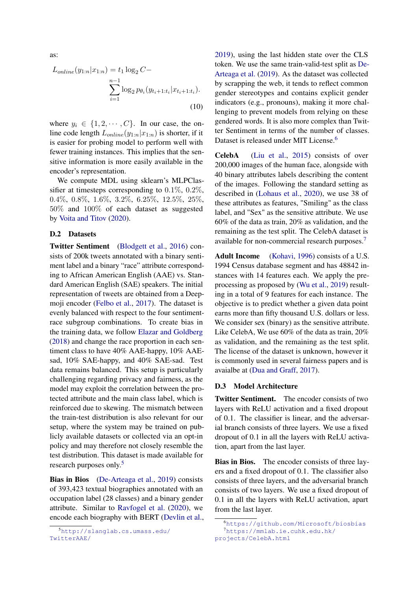as:

$$
L_{online}(y_{1:n}|x_{1:n}) = t_1 \log_2 C -
$$

$$
\sum_{i=1}^{n-1} \log_2 p_{\theta_i}(y_{t_i+1:t_i}|x_{t_i+1:t_i}).
$$

$$
(10)
$$

where  $y_i \in \{1, 2, \dots, C\}$ . In our case, the online code length  $L_{online}(y_{1:n}|x_{1:n})$  is shorter, if it is easier for probing model to perform well with fewer training instances. This implies that the sensitive information is more easily available in the encoder's representation.

We compute MDL using sklearn's MLPClassifier at timesteps corresponding to 0.1%, 0.2%, 0.4%, 0.8%, 1.6%, 3.2%, 6.25%, 12.5%, 25%, 50% and 100% of each dataset as suggested by [Voita and Titov](#page-10-11) [\(2020\)](#page-10-11).

## <span id="page-13-0"></span>D.2 Datasets

Twitter Sentiment [\(Blodgett et al.,](#page-8-13) [2016\)](#page-8-13) consists of 200k tweets annotated with a binary sentiment label and a binary "race" attribute corresponding to African American English (AAE) vs. Standard American English (SAE) speakers. The initial representation of tweets are obtained from a Deepmoji encoder [\(Felbo et al.,](#page-9-16) [2017\)](#page-9-16). The dataset is evenly balanced with respect to the four sentimentrace subgroup combinations. To create bias in the training data, we follow [Elazar and Goldberg](#page-8-6) [\(2018\)](#page-8-6) and change the race proportion in each sentiment class to have 40% AAE-happy, 10% AAEsad, 10% SAE-happy, and 40% SAE-sad. Test data remains balanced. This setup is particularly challenging regarding privacy and fairness, as the model may exploit the correlation between the protected attribute and the main class label, which is reinforced due to skewing. The mismatch between the train-test distribution is also relevant for our setup, where the system may be trained on publicly available datasets or collected via an opt-in policy and may therefore not closely resemble the test distribution. This dataset is made available for research purposes only.<sup>[5](#page-13-2)</sup>

Bias in Bios [\(De-Arteaga et al.,](#page-8-3) [2019\)](#page-8-3) consists of 393,423 textual biographies annotated with an occupation label (28 classes) and a binary gender attribute. Similar to [Ravfogel et al.](#page-10-7) [\(2020\)](#page-10-7), we encode each biography with BERT [\(Devlin et al.,](#page-8-14) [2019\)](#page-8-14), using the last hidden state over the CLS token. We use the same train-valid-test split as [De-](#page-8-3)[Arteaga et al.](#page-8-3) [\(2019\)](#page-8-3). As the dataset was collected by scrapping the web, it tends to reflect common gender stereotypes and contains explicit gender indicators (e.g., pronouns), making it more challenging to prevent models from relying on these gendered words. It is also more complex than Twitter Sentiment in terms of the number of classes. Dataset is released under MIT License.<sup>[6](#page-13-3)</sup>

CelebA [\(Liu et al.,](#page-9-14) [2015\)](#page-9-14) consists of over 200,000 images of the human face, alongside with 40 binary attributes labels describing the content of the images. Following the standard setting as described in [\(Lohaus et al.,](#page-9-17) [2020\)](#page-9-17), we use 38 of these attributes as features, "Smiling" as the class label, and "Sex" as the sensitive attribute. We use 60% of the data as train, 20% as validation, and the remaining as the test split. The CelebA dataset is available for non-commercial research purposes.[7](#page-13-4)

Adult Income [\(Kohavi,](#page-9-15) [1996\)](#page-9-15) consists of a U.S. 1994 Census database segment and has 48842 instances with 14 features each. We apply the preprocessing as proposed by [\(Wu et al.,](#page-10-14) [2019\)](#page-10-14) resulting in a total of 9 features for each instance. The objective is to predict whether a given data point earns more than fifty thousand U.S. dollars or less. We consider sex (binary) as the sensitive attribute. Like CelebA, We use 60% of the data as train, 20% as validation, and the remaining as the test split. The license of the dataset is unknown, however it is commonly used in several fairness papers and is avaialbe at [\(Dua and Graff,](#page-8-15) [2017\)](#page-8-15).

### <span id="page-13-1"></span>D.3 Model Architecture

Twitter Sentiment. The encoder consists of two layers with ReLU activation and a fixed dropout of 0.1. The classifier is linear, and the adversarial branch consists of three layers. We use a fixed dropout of 0.1 in all the layers with ReLU activation, apart from the last layer.

Bias in Bios. The encoder consists of three layers and a fixed dropout of 0.1. The classifier also consists of three layers, and the adversarial branch consists of two layers. We use a fixed dropout of 0.1 in all the layers with ReLU activation, apart from the last layer.

<span id="page-13-2"></span><sup>5</sup>[http://slanglab.cs.umass.edu/](http://slanglab.cs.umass.edu/TwitterAAE/) [TwitterAAE/](http://slanglab.cs.umass.edu/TwitterAAE/)

<span id="page-13-4"></span><span id="page-13-3"></span><sup>6</sup><https://github.com/Microsoft/biosbias> <sup>7</sup>[https://mmlab.ie.cuhk.edu.hk/](https://mmlab.ie.cuhk.edu.hk/projects/CelebA.html) [projects/CelebA.html](https://mmlab.ie.cuhk.edu.hk/projects/CelebA.html)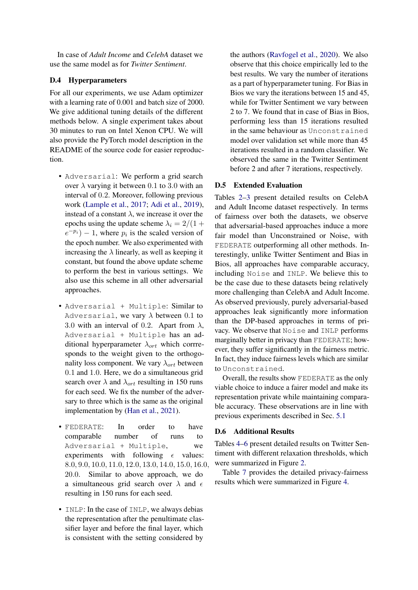In case of *Adult Income* and *CelebA* dataset we use the same model as for *Twitter Sentiment*.

## <span id="page-14-1"></span>D.4 Hyperparameters

For all our experiments, we use Adam optimizer with a learning rate of 0.001 and batch size of 2000. We give additional tuning details of the different methods below. A single experiment takes about 30 minutes to run on Intel Xenon CPU. We will also provide the PyTorch model description in the README of the source code for easier reproduction.

- Adversarial: We perform a grid search over  $\lambda$  varying it between 0.1 to 3.0 with an interval of 0.2. Moreover, following previous work [\(Lample et al.,](#page-9-18) [2017;](#page-9-18) [Adi et al.,](#page-8-16) [2019\)](#page-8-16), instead of a constant  $\lambda$ , we increase it over the epochs using the update scheme  $\lambda_i = 2/(1 +$  $(e^{-pi}) - 1$ , where  $p_i$  is the scaled version of the epoch number. We also experimented with increasing the  $\lambda$  linearly, as well as keeping it constant, but found the above update scheme to perform the best in various settings. We also use this scheme in all other adversarial approaches.
- Adversarial + Multiple: Similar to Adversarial, we vary  $\lambda$  between 0.1 to 3.0 with an interval of 0.2. Apart from  $\lambda$ , Adversarial + Multiple has an additional hyperparameter  $\lambda_{ort}$  which corrresponds to the weight given to the orthogonality loss component. We vary  $\lambda_{ort}$  between 0.1 and 1.0. Here, we do a simultaneous grid search over  $\lambda$  and  $\lambda_{ort}$  resulting in 150 runs for each seed. We fix the number of the adversary to three which is the same as the original implementation by [\(Han et al.,](#page-9-3) [2021\)](#page-9-3).
- FEDERATE: In order to have comparable number of runs to Adversarial + Multiple, we experiments with following  $\epsilon$  values: 8.0, 9.0, 10.0, 11.0, 12.0, 13.0, 14.0, 15.0, 16.0, 20.0. Similar to above approach, we do a simultaneous grid search over  $\lambda$  and  $\epsilon$ resulting in 150 runs for each seed.
- INLP: In the case of INLP, we always debias the representation after the penultimate classifier layer and before the final layer, which is consistent with the setting considered by

the authors [\(Ravfogel et al.,](#page-10-7) [2020\)](#page-10-7). We also observe that this choice empirically led to the best results. We vary the number of iterations as a part of hyperparameter tuning. For Bias in Bios we vary the iterations between 15 and 45, while for Twitter Sentiment we vary between 2 to 7. We found that in case of Bias in Bios, performing less than 15 iterations resulted in the same behaviour as Unconstrained model over validation set while more than 45 iterations resulted in a random classifier. We observed the same in the Twitter Sentiment before 2 and after 7 iterations, respectively.

#### <span id="page-14-0"></span>D.5 Extended Evaluation

Tables [2](#page-15-0)[–3](#page-15-1) present detailed results on CelebA and Adult Income dataset respectively. In terms of fairness over both the datasets, we observe that adversarial-based approaches induce a more fair model than Unconstrained or Noise, with FEDERATE outperforming all other methods. Interestingly, unlike Twitter Sentiment and Bias in Bios, all approaches have comparable accuracy, including Noise and INLP. We believe this to be the case due to these datasets being relatively more challenging than CelebA and Adult Income. As observed previously, purely adversarial-based approaches leak significantly more information than the DP-based approaches in terms of privacy. We observe that Noise and INLP performs marginally better in privacy than FEDERATE; however, they suffer significantly in the fairness metric. In fact, they induce fairness levels which are similar to Unconstrained.

Overall, the results show FEDERATE as the only viable choice to induce a fairer model and make its representation private while maintaining comparable accuracy. These observations are in line with previous experiments described in Sec. [5.1](#page-5-0)

### <span id="page-14-2"></span>D.6 Additional Results

Tables [4–](#page-15-2)[6](#page-16-0) present detailed results on Twitter Sentiment with different relaxation thresholds, which were summarized in Figure [2.](#page-5-3)

Table [7](#page-16-1) provides the detailed privacy-fairness results which were summarized in Figure [4.](#page-7-2)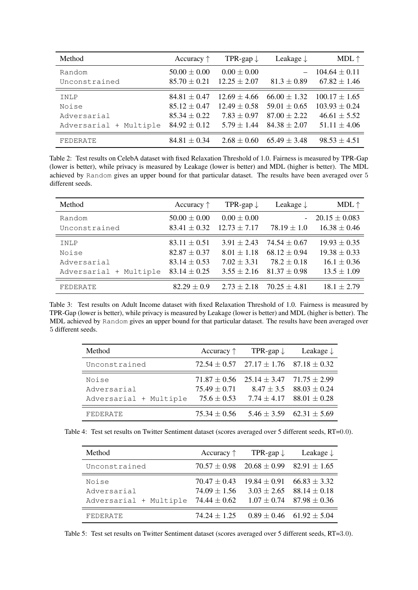<span id="page-15-0"></span>

| Method                 | Accuracy $\uparrow$ | TPR-gap $\downarrow$ | Leakage $\downarrow$ | $MDL$ $\uparrow$  |
|------------------------|---------------------|----------------------|----------------------|-------------------|
| Random                 | $50.00 \pm 0.00$    | $0.00 \pm 0.00$      |                      | $104.64 \pm 0.11$ |
| Unconstrained          | $85.70 \pm 0.21$    | $12.25 \pm 2.07$     | $81.3 \pm 0.89$      | $67.82 \pm 1.46$  |
| TNLP                   | $84.81 \pm 0.47$    | $12.69 \pm 4.66$     | $66.00 \pm 1.32$     | $100.17 \pm 1.65$ |
| Noise                  | $85.12 \pm 0.47$    | $12.49 \pm 0.58$     | $59.01 \pm 0.65$     | $103.93 \pm 0.24$ |
| Adversarial            | $85.34 \pm 0.22$    | $7.83 \pm 0.97$      | $87.00 \pm 2.22$     | $46.61 \pm 5.52$  |
| Adversarial + Multiple | $84.92 \pm 0.12$    | $5.79 \pm 1.44$      | $84.38 \pm 2.07$     | $51.11 \pm 4.06$  |
| FEDERATE               | $84.81 \pm 0.34$    | $2.68 \pm 0.60$      | $65.49 \pm 3.48$     | $98.53 \pm 4.51$  |

Table 2: Test results on CelebA dataset with fixed Relaxation Threshold of 1.0. Fairness is measured by TPR-Gap (lower is better), while privacy is measured by Leakage (lower is better) and MDL (higher is better). The MDL achieved by Random gives an upper bound for that particular dataset. The results have been averaged over 5 different seeds.

<span id="page-15-1"></span>

| Method                 | Accuracy $\uparrow$ | TPR-gap $\downarrow$ | Leakage $\downarrow$ | $MDL$ $\uparrow$  |
|------------------------|---------------------|----------------------|----------------------|-------------------|
| Random                 | $50.00 \pm 0.00$    | $0.00 \pm 0.00$      | $\sim$               | $20.15 \pm 0.083$ |
| Unconstrained          | $83.41 \pm 0.32$    | $12.73 \pm 7.17$     | $78.19 \pm 1.0$      | $16.38 \pm 0.46$  |
| INLP                   | $83.11 \pm 0.51$    | $3.91 \pm 2.43$      | $74.54 \pm 0.67$     | $19.93 \pm 0.35$  |
| Noise                  | $82.87 \pm 0.37$    | $8.01 \pm 1.18$      | $68.12 \pm 0.94$     | $19.38 \pm 0.33$  |
| Adversarial            | $83.14 \pm 0.53$    | $7.02 \pm 3.31$      | $78.2 + 0.18$        | $16.1 \pm 0.36$   |
| Adversarial + Multiple | $83.14 \pm 0.25$    | $3.55 \pm 2.16$      | $81.37 \pm 0.98$     | $13.5 \pm 1.09$   |
| FEDERATE               | $82.29 \pm 0.9$     | $2.73 + 2.18$        | $70.25 \pm 4.81$     | $18.1 \pm 2.79$   |

Table 3: Test results on Adult Income dataset with fixed Relaxation Threshold of 1.0. Fairness is measured by TPR-Gap (lower is better), while privacy is measured by Leakage (lower is better) and MDL (higher is better). The MDL achieved by Random gives an upper bound for that particular dataset. The results have been averaged over 5 different seeds.

<span id="page-15-2"></span>

| Method                                         | Accuracy $\uparrow$                 | TPR-gap $\downarrow$                               | Leakage $\downarrow$                                                |
|------------------------------------------------|-------------------------------------|----------------------------------------------------|---------------------------------------------------------------------|
| Unconstrained                                  |                                     | $72.54 \pm 0.57$ $27.17 \pm 1.76$ $87.18 \pm 0.32$ |                                                                     |
| Noise<br>Adversarial<br>Adversarial + Multiple | $75.49 \pm 0.71$<br>$75.6 \pm 0.53$ | $71.87 \pm 0.56$ $25.14 \pm 3.47$ $71.75 \pm 2.99$ | $8.47 \pm 3.5$ $88.03 \pm 0.24$<br>$7.74 \pm 4.17$ $88.01 \pm 0.28$ |
| FEDERATE                                       | $75.34 \pm 0.56$                    |                                                    | $5.46 \pm 3.59$ $62.31 \pm 5.69$                                    |

Table 4: Test set results on Twitter Sentiment dataset (scores averaged over 5 different seeds, RT=0.0).

| Method                                         | Accuracy $\uparrow$                                      | TPR-gap $\downarrow$                                   | Leakage $\downarrow$                                     |
|------------------------------------------------|----------------------------------------------------------|--------------------------------------------------------|----------------------------------------------------------|
| Unconstrained                                  |                                                          | $70.57 \pm 0.98$ $20.68 \pm 0.99$ $82.91 \pm 1.65$     |                                                          |
| Noise<br>Adversarial<br>Adversarial + Multiple | $70.47 \pm 0.43$<br>$74.09 \pm 1.56$<br>74.44 $\pm$ 0.62 | $19.84 \pm 0.91$<br>$3.03 \pm 2.65$<br>$1.07 \pm 0.74$ | $66.83 \pm 3.32$<br>$88.14 \pm 0.18$<br>$87.98 \pm 0.36$ |
| FEDERATE                                       | $74.24 \pm 1.25$                                         |                                                        | $0.89 \pm 0.46$ 61.92 $\pm$ 5.04                         |

Table 5: Test set results on Twitter Sentiment dataset (scores averaged over 5 different seeds, RT=3.0).